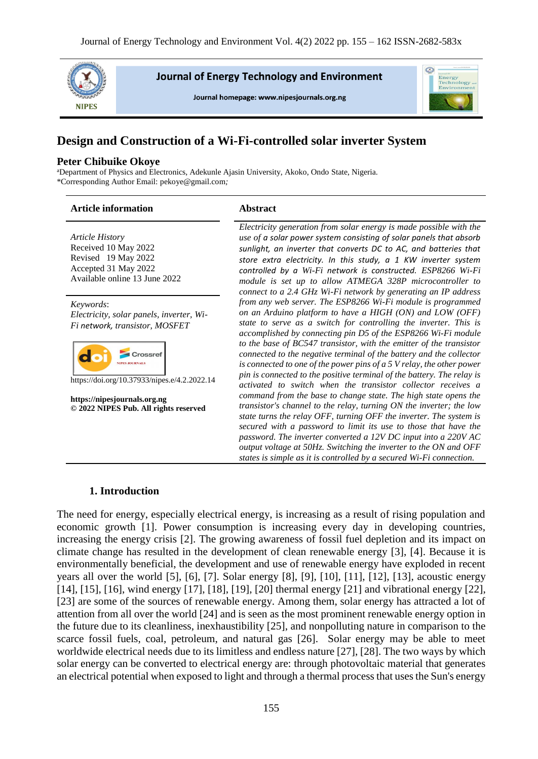

**Journal of Energy Technology and Environment** 

Journal homepage: www.nipesjournals.org.ng



# **Design and Construction of a Wi-Fi-controlled solar inverter System**

### **Peter Chibuike Okoye**

<sup>a</sup>Department of Physics and Electronics, Adekunle Ajasin University, Akoko, Ondo State, Nigeria. \*Corresponding Author Email: pekoye@gmail.com*;*

| <b>Article information</b>                                                                                                                                                                                       | <b>Abstract</b>                                                                                                                                                                                                                                                                                                                                                                                                                                                                                                                                                                                                                                                                                                                                                                                                                                                                                                                                                                                                                                                                                                                                                                                                                                                                                                                                                                                                                                                                                                                                                                                                    |
|------------------------------------------------------------------------------------------------------------------------------------------------------------------------------------------------------------------|--------------------------------------------------------------------------------------------------------------------------------------------------------------------------------------------------------------------------------------------------------------------------------------------------------------------------------------------------------------------------------------------------------------------------------------------------------------------------------------------------------------------------------------------------------------------------------------------------------------------------------------------------------------------------------------------------------------------------------------------------------------------------------------------------------------------------------------------------------------------------------------------------------------------------------------------------------------------------------------------------------------------------------------------------------------------------------------------------------------------------------------------------------------------------------------------------------------------------------------------------------------------------------------------------------------------------------------------------------------------------------------------------------------------------------------------------------------------------------------------------------------------------------------------------------------------------------------------------------------------|
| <b>Article History</b><br>Received 10 May 2022<br>Revised 19 May 2022<br>Accepted 31 May 2022<br>Available online 13 June 2022                                                                                   | Electricity generation from solar energy is made possible with the<br>use of a solar power system consisting of solar panels that absorb<br>sunlight, an inverter that converts DC to AC, and batteries that<br>store extra electricity. In this study, a 1 KW inverter system<br>controlled by a Wi-Fi network is constructed. ESP8266 Wi-Fi<br>module is set up to allow ATMEGA 328P microcontroller to<br>connect to a 2.4 GHz Wi-Fi network by generating an IP address<br>from any web server. The ESP8266 Wi-Fi module is programmed<br>on an Arduino platform to have a HIGH $(ON)$ and $LOW (OFF)$<br>state to serve as a switch for controlling the inverter. This is<br>accomplished by connecting pin D5 of the ESP8266 Wi-Fi module<br>to the base of BC547 transistor, with the emitter of the transistor<br>connected to the negative terminal of the battery and the collector<br>is connected to one of the power pins of $a 5 V$ relay, the other power<br>pin is connected to the positive terminal of the battery. The relay is<br>activated to switch when the transistor collector receives a<br>command from the base to change state. The high state opens the<br>transistor's channel to the relay, turning ON the inverter; the low<br>state turns the relay OFF, turning OFF the inverter. The system is<br>secured with a password to limit its use to those that have the<br>password. The inverter converted a 12V DC input into a 220V AC<br>output voltage at 50Hz. Switching the inverter to the ON and OFF<br>states is simple as it is controlled by a secured Wi-Fi connection. |
| Keywords:<br>Electricity, solar panels, inverter, Wi-<br>Fi network, transistor, MOSFET<br>https://doi.org/10.37933/nipes.e/4.2.2022.14<br>https://nipesjournals.org.ng<br>© 2022 NIPES Pub. All rights reserved |                                                                                                                                                                                                                                                                                                                                                                                                                                                                                                                                                                                                                                                                                                                                                                                                                                                                                                                                                                                                                                                                                                                                                                                                                                                                                                                                                                                                                                                                                                                                                                                                                    |

### **1. Introduction**

The need for energy, especially electrical energy, is increasing as a result of rising population and economic growth [1]. Power consumption is increasing every day in developing countries, increasing the energy crisis [2]. The growing awareness of fossil fuel depletion and its impact on climate change has resulted in the development of clean renewable energy [3], [4]. Because it is environmentally beneficial, the development and use of renewable energy have exploded in recent years all over the world [5], [6], [7]. Solar energy [8], [9], [10], [11], [12], [13], acoustic energy [14], [15], [16], wind energy [17], [18], [19], [20] thermal energy [21] and vibrational energy [22], [23] are some of the sources of renewable energy. Among them, solar energy has attracted a lot of attention from all over the world [24] and is seen as the most prominent renewable energy option in the future due to its cleanliness, inexhaustibility [25], and nonpolluting nature in comparison to the scarce fossil fuels, coal, petroleum, and natural gas [26]. Solar energy may be able to meet worldwide electrical needs due to its limitless and endless nature [27], [28]. The two ways by which solar energy can be converted to electrical energy are: through photovoltaic material that generates an electrical potential when exposed to light and through a thermal process that uses the Sun's energy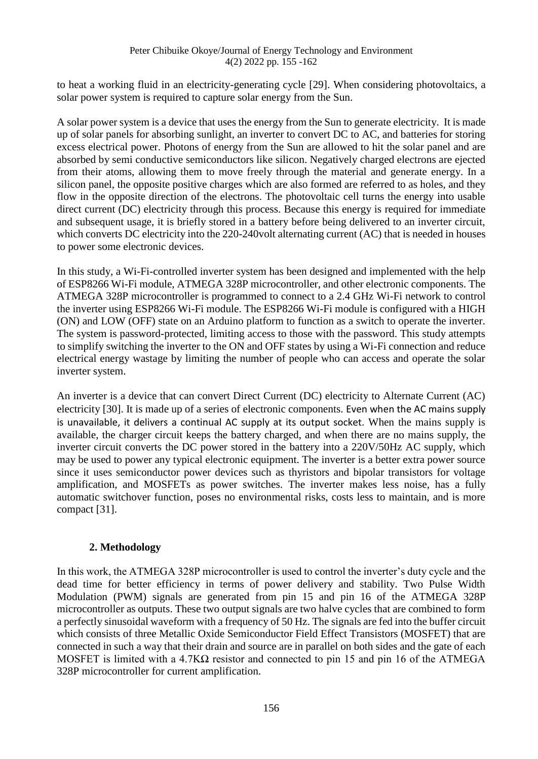to heat a working fluid in an electricity-generating cycle [29]. When considering photovoltaics, a solar power system is required to capture solar energy from the Sun.

A solar power system is a device that uses the energy from the Sun to generate electricity. It is made up of solar panels for absorbing sunlight, an inverter to convert DC to AC, and batteries for storing excess electrical power. Photons of energy from the Sun are allowed to hit the solar panel and are absorbed by semi conductive semiconductors like silicon. Negatively charged electrons are ejected from their atoms, allowing them to move freely through the material and generate energy. In a silicon panel, the opposite positive charges which are also formed are referred to as holes, and they flow in the opposite direction of the electrons. The photovoltaic cell turns the energy into usable direct current (DC) electricity through this process. Because this energy is required for immediate and subsequent usage, it is briefly stored in a battery before being delivered to an inverter circuit, which converts DC electricity into the 220-240 volt alternating current (AC) that is needed in houses to power some electronic devices.

In this study, a Wi-Fi-controlled inverter system has been designed and implemented with the help of ESP8266 Wi-Fi module, ATMEGA 328P microcontroller, and other electronic components. The ATMEGA 328P microcontroller is programmed to connect to a 2.4 GHz Wi-Fi network to control the inverter using ESP8266 Wi-Fi module. The ESP8266 Wi-Fi module is configured with a HIGH (ON) and LOW (OFF) state on an Arduino platform to function as a switch to operate the inverter. The system is password-protected, limiting access to those with the password. This study attempts to simplify switching the inverter to the ON and OFF states by using a Wi-Fi connection and reduce electrical energy wastage by limiting the number of people who can access and operate the solar inverter system.

An inverter is a device that can convert Direct Current (DC) electricity to Alternate Current (AC) electricity [30]. It is made up of a series of electronic components. Even when the AC mains supply is unavailable, it delivers a continual AC supply at its output socket. When the mains supply is available, the charger circuit keeps the battery charged, and when there are no mains supply, the inverter circuit converts the DC power stored in the battery into a 220V/50Hz AC supply, which may be used to power any typical electronic equipment. The inverter is a better extra power source since it uses semiconductor power devices such as thyristors and bipolar transistors for voltage amplification, and MOSFETs as power switches. The inverter makes less noise, has a fully automatic switchover function, poses no environmental risks, costs less to maintain, and is more compact [31].

# **2. Methodology**

In this work, the ATMEGA 328P microcontroller is used to control the inverter's duty cycle and the dead time for better efficiency in terms of power delivery and stability. Two Pulse Width Modulation (PWM) signals are generated from pin 15 and pin 16 of the ATMEGA 328P microcontroller as outputs. These two output signals are two halve cycles that are combined to form a perfectly sinusoidal waveform with a frequency of 50 Hz. The signals are fed into the buffer circuit which consists of three Metallic Oxide Semiconductor Field Effect Transistors (MOSFET) that are connected in such a way that their drain and source are in parallel on both sides and the gate of each MOSFET is limited with a  $4.7K\Omega$  resistor and connected to pin 15 and pin 16 of the ATMEGA 328P microcontroller for current amplification.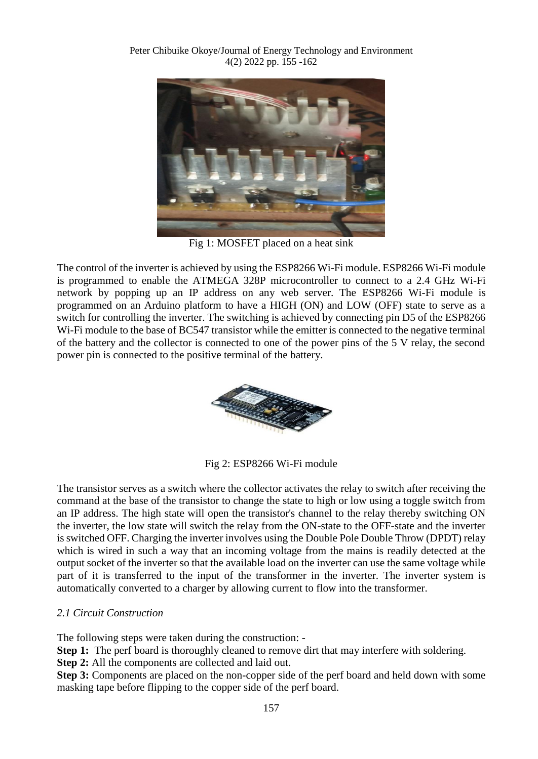

Fig 1: MOSFET placed on a heat sink

The control of the inverter is achieved by using the ESP8266 Wi-Fi module. ESP8266 Wi-Fi module is programmed to enable the ATMEGA 328P microcontroller to connect to a 2.4 GHz Wi-Fi network by popping up an IP address on any web server. The ESP8266 Wi-Fi module is programmed on an Arduino platform to have a HIGH (ON) and LOW (OFF) state to serve as a switch for controlling the inverter. The switching is achieved by connecting pin D5 of the ESP8266 W<sub>i</sub>-Fi module to the base of BC547 transistor while the emitter is connected to the negative terminal of the battery and the collector is connected to one of the power pins of the 5 V relay, the second power pin is connected to the positive terminal of the battery.



Fig 2: ESP8266 Wi-Fi module

The transistor serves as a switch where the collector activates the relay to switch after receiving the command at the base of the transistor to change the state to high or low using a toggle switch from an IP address. The high state will open the transistor's channel to the relay thereby switching ON the inverter, the low state will switch the relay from the ON-state to the OFF-state and the inverter is switched OFF. Charging the inverter involves using the Double Pole Double Throw (DPDT) relay which is wired in such a way that an incoming voltage from the mains is readily detected at the output socket of the inverter so that the available load on the inverter can use the same voltage while part of it is transferred to the input of the transformer in the inverter. The inverter system is automatically converted to a charger by allowing current to flow into the transformer.

# *2.1 Circuit Construction*

The following steps were taken during the construction: -

**Step 1:** The perf board is thoroughly cleaned to remove dirt that may interfere with soldering.

**Step 2:** All the components are collected and laid out.

**Step 3:** Components are placed on the non-copper side of the perf board and held down with some masking tape before flipping to the copper side of the perf board.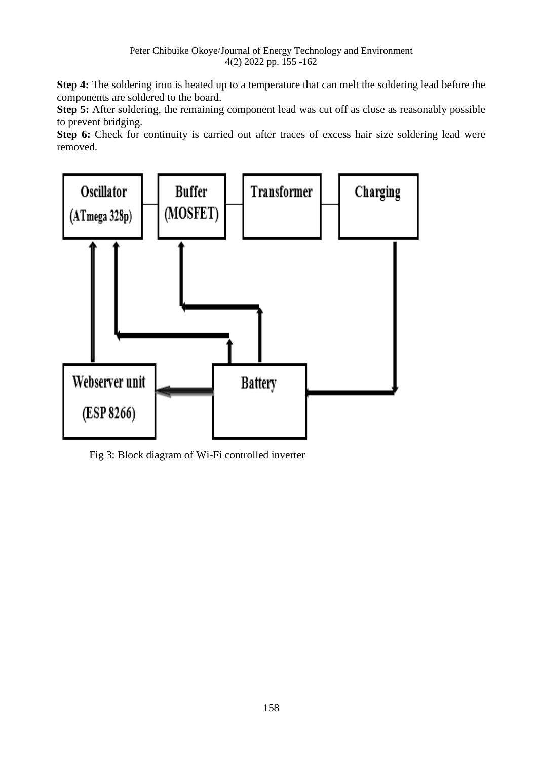**Step 4:** The soldering iron is heated up to a temperature that can melt the soldering lead before the components are soldered to the board.

**Step 5:** After soldering, the remaining component lead was cut off as close as reasonably possible to prevent bridging.

Step 6: Check for continuity is carried out after traces of excess hair size soldering lead were removed.



Fig 3: Block diagram of Wi-Fi controlled inverter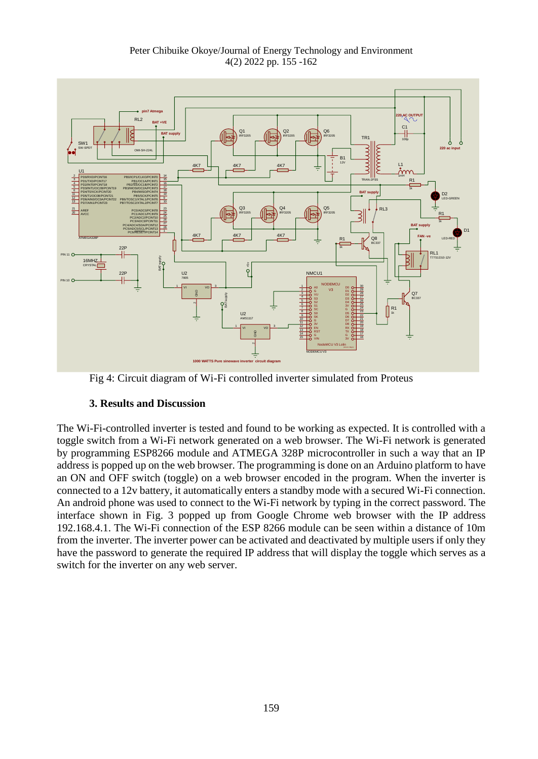

Fig 4: Circuit diagram of Wi-Fi controlled inverter simulated from Proteus

# **3. Results and Discussion**

The Wi-Fi-controlled inverter is tested and found to be working as expected. It is controlled with a toggle switch from a Wi-Fi network generated on a web browser. The Wi-Fi network is generated by programming ESP8266 module and ATMEGA 328P microcontroller in such a way that an IP address is popped up on the web browser. The programming is done on an Arduino platform to have an ON and OFF switch (toggle) on a web browser encoded in the program. When the inverter is connected to a 12v battery, it automatically enters a standby mode with a secured Wi-Fi connection. An android phone was used to connect to the Wi-Fi network by typing in the correct password. The interface shown in Fig. 3 popped up from Google Chrome web browser with the IP address 192.168.4.1. The Wi-Fi connection of the ESP 8266 module can be seen within a distance of 10m from the inverter. The inverter power can be activated and deactivated by multiple users if only they have the password to generate the required IP address that will display the toggle which serves as a switch for the inverter on any web server.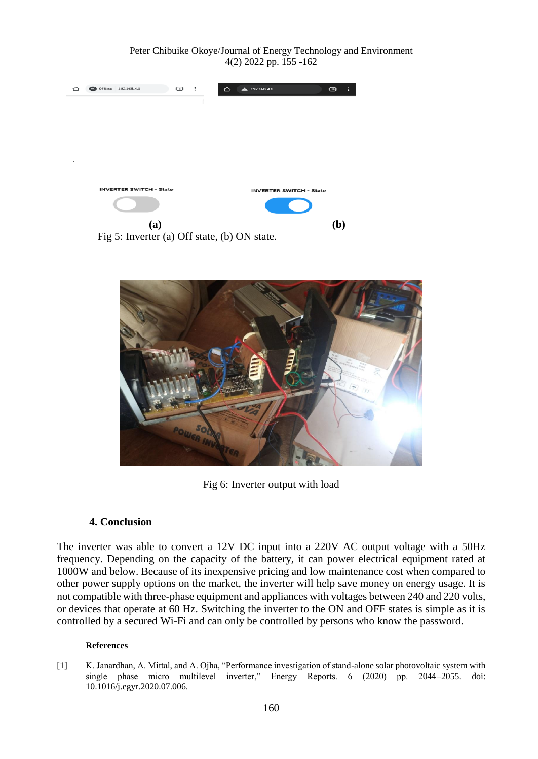Peter Chibuike Okoye/Journal of Energy Technology and Environment 4(2) 2022 pp. 155 -162





Fig 6: Inverter output with load

## **4. Conclusion**

The inverter was able to convert a 12V DC input into a 220V AC output voltage with a 50Hz frequency. Depending on the capacity of the battery, it can power electrical equipment rated at 1000W and below. Because of its inexpensive pricing and low maintenance cost when compared to other power supply options on the market, the inverter will help save money on energy usage. It is not compatible with three-phase equipment and appliances with voltages between 240 and 220 volts, or devices that operate at 60 Hz. Switching the inverter to the ON and OFF states is simple as it is controlled by a secured Wi-Fi and can only be controlled by persons who know the password.

### **References**

[1] K. Janardhan, A. Mittal, and A. Ojha, "Performance investigation of stand-alone solar photovoltaic system with single phase micro multilevel inverter," Energy Reports. 6 (2020) pp. 2044–2055. doi: 10.1016/j.egyr.2020.07.006.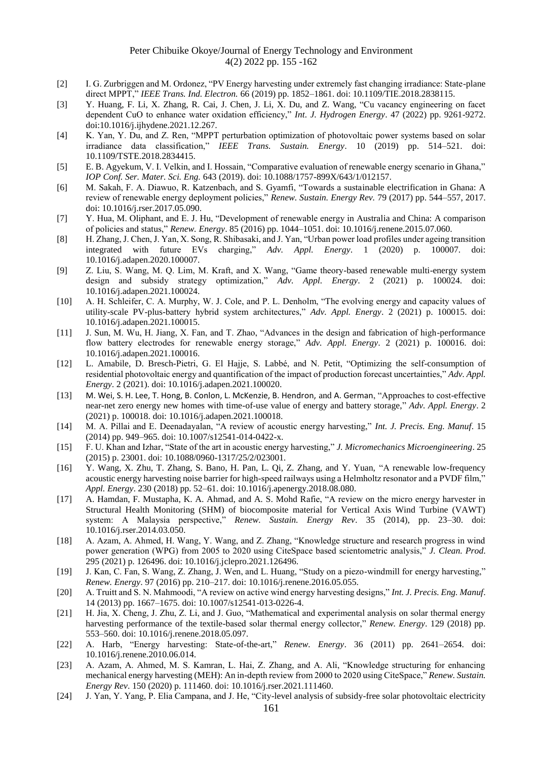- [2] I. G. Zurbriggen and M. Ordonez, "PV Energy harvesting under extremely fast changing irradiance: State-plane direct MPPT," *IEEE Trans. Ind. Electron.* 66 (2019) pp. 1852–1861. doi: 10.1109/TIE.2018.2838115.
- [3] [Y. Huang, F. Li,](https://www.sciencedirect.com/science/article/abs/pii/S0360319921050710#!) [X. Zhang,](https://www.sciencedirect.com/science/article/abs/pii/S0360319921050710#!) [R. Cai,](https://www.sciencedirect.com/science/article/abs/pii/S0360319921050710#!) [J. Chen,](https://www.sciencedirect.com/science/article/abs/pii/S0360319921050710#!) [J. Li,](https://www.sciencedirect.com/science/article/abs/pii/S0360319921050710#!) [X. Du,](https://www.sciencedirect.com/science/article/abs/pii/S0360319921050710#!) and [Z. Wang,](https://www.sciencedirect.com/science/article/abs/pii/S0360319921050710#!) "Cu vacancy engineering on facet dependent CuO to enhance water oxidation efficiency," *Int. J. Hydrogen Energy*. 47 (2022) pp. 9261-9272. doi:10.1016/j.ijhydene.2021.12.267.
- [4] K. Yan, Y. Du, and Z. Ren, "MPPT perturbation optimization of photovoltaic power systems based on solar irradiance data classification," *IEEE Trans. Sustain. Energy*. 10 (2019) pp. 514–521. doi: 10.1109/TSTE.2018.2834415.
- [5] E. B. Agyekum, V. I. Velkin, and I. Hossain, "Comparative evaluation of renewable energy scenario in Ghana," *IOP Conf. Ser. Mater. Sci. Eng.* 643 (2019). doi: 10.1088/1757-899X/643/1/012157.
- [6] M. Sakah, F. A. Diawuo, R. Katzenbach, and S. Gyamfi, "Towards a sustainable electrification in Ghana: A review of renewable energy deployment policies," *Renew. Sustain. Energy Rev.* 79 (2017) pp. 544–557, 2017. doi: 10.1016/j.rser.2017.05.090.
- [7] Y. Hua, M. Oliphant, and E. J. Hu, "Development of renewable energy in Australia and China: A comparison of policies and status," *Renew. Energy*. 85 (2016) pp. 1044–1051. doi: 10.1016/j.renene.2015.07.060.
- [8] H. Zhang, J. Chen, J. Yan, X. Song, R. Shibasaki, and J. Yan, "Urban power load profiles under ageing transition integrated with future EVs charging," *Adv. Appl. Energy*. 1 (2020) p. 100007. doi: 10.1016/j.adapen.2020.100007.
- [9] Z. Liu, S. Wang, M. Q. Lim, M. Kraft, and X. Wang, "Game theory-based renewable multi-energy system design and subsidy strategy optimization," *Adv. Appl. Energy*. 2 (2021) p. 100024. doi: 10.1016/j.adapen.2021.100024.
- [10] A. H. Schleifer, C. A. Murphy, W. J. Cole, and P. L. Denholm, "The evolving energy and capacity values of utility-scale PV-plus-battery hybrid system architectures," *Adv. Appl. Energy*. 2 (2021) p. 100015. doi: 10.1016/j.adapen.2021.100015.
- [11] J. Sun, M. Wu, H. Jiang, X. Fan, and T. Zhao, "Advances in the design and fabrication of high-performance flow battery electrodes for renewable energy storage," *Adv. Appl. Energy*. 2 (2021) p. 100016. doi: 10.1016/j.adapen.2021.100016.
- [12] L. Amabile, D. Bresch-Pietri, G. El Hajje, S. Labbé, and N. Petit, "Optimizing the self-consumption of residential photovoltaic energy and quantification of the impact of production forecast uncertainties," *Adv. Appl. Energy*. 2 (2021). doi: 10.1016/j.adapen.2021.100020.
- [13] M. Wei, S. H. Lee, T. Hong, B. Conlon, L. McKenzie, B. Hendron, and A. German, "Approaches to cost-effective near-net zero energy new homes with time-of-use value of energy and battery storage," *Adv. Appl. Energy*. 2 (2021) p. 100018. doi: 10.1016/j.adapen.2021.100018.
- [14] M. A. Pillai and E. Deenadayalan, "A review of acoustic energy harvesting," *Int. J. Precis. Eng. Manuf*. 15 (2014) pp. 949–965. doi: 10.1007/s12541-014-0422-x.
- [15] F. U. Khan and Izhar, "State of the art in acoustic energy harvesting," *J. Micromechanics Microengineering*. 25 (2015) p. 23001. doi: 10.1088/0960-1317/25/2/023001.
- [16] Y. Wang, X. Zhu, T. Zhang, S. Bano, H. Pan, L. Qi, Z. Zhang, and Y. Yuan, "A renewable low-frequency acoustic energy harvesting noise barrier for high-speed railways using a Helmholtz resonator and a PVDF film," *Appl. Energy*. 230 (2018) pp. 52–61. doi: 10.1016/j.apenergy.2018.08.080.
- [17] A. Hamdan, F. Mustapha, K. A. Ahmad, and A. S. Mohd Rafie, "A review on the micro energy harvester in Structural Health Monitoring (SHM) of biocomposite material for Vertical Axis Wind Turbine (VAWT) system: A Malaysia perspective," *Renew. Sustain. Energy Rev*. 35 (2014), pp. 23–30. doi: 10.1016/j.rser.2014.03.050.
- [18] A. Azam, A. Ahmed, H. Wang, Y. Wang, and Z. Zhang, "Knowledge structure and research progress in wind power generation (WPG) from 2005 to 2020 using CiteSpace based scientometric analysis," *J. Clean. Prod*. 295 (2021) p. 126496. doi: 10.1016/j.jclepro.2021.126496.
- [19] J. Kan, C. Fan, S. Wang, Z. Zhang, J. Wen, and L. Huang, "Study on a piezo-windmill for energy harvesting," *Renew. Energy*. 97 (2016) pp. 210–217. doi: 10.1016/j.renene.2016.05.055.
- [20] A. Truitt and S. N. Mahmoodi, "A review on active wind energy harvesting designs," *Int. J. Precis. Eng. Manuf*. 14 (2013) pp. 1667–1675. doi: 10.1007/s12541-013-0226-4.
- [21] H. Jia, X. Cheng, J. Zhu, Z. Li, and J. Guo, "Mathematical and experimental analysis on solar thermal energy harvesting performance of the textile-based solar thermal energy collector," *Renew. Energy*. 129 (2018) pp. 553–560. doi: 10.1016/j.renene.2018.05.097.
- [22] A. Harb, "Energy harvesting: State-of-the-art," *Renew. Energy*. 36 (2011) pp. 2641–2654. doi: 10.1016/j.renene.2010.06.014.
- [23] A. Azam, A. Ahmed, M. S. Kamran, L. Hai, Z. Zhang, and A. Ali, "Knowledge structuring for enhancing mechanical energy harvesting (MEH): An in-depth review from 2000 to 2020 using CiteSpace," *Renew. Sustain. Energy Rev*. 150 (2020) p. 111460. doi: 10.1016/j.rser.2021.111460.
- [24] J. Yan, Y. Yang, P. Elia Campana, and J. He, "City-level analysis of subsidy-free solar photovoltaic electricity